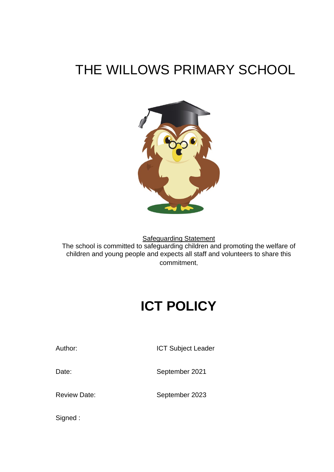## THE WILLOWS PRIMARY SCHOOL



Safeguarding Statement The school is committed to safeguarding children and promoting the welfare of children and young people and expects all staff and volunteers to share this commitment.

# **ICT POLICY**

Author: **ICT Subject Leader** 

Date: September 2021

Review Date: September 2023

Signed :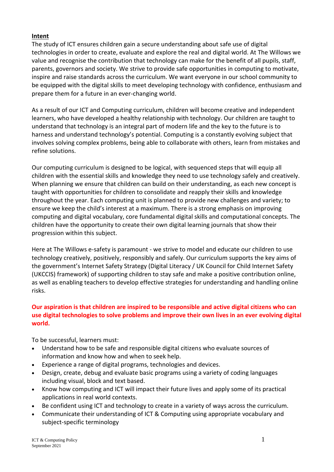#### **Intent**

The study of ICT ensures children gain a secure understanding about safe use of digital technologies in order to create, evaluate and explore the real and digital world. At The Willows we value and recognise the contribution that technology can make for the benefit of all pupils, staff, parents, governors and society. We strive to provide safe opportunities in computing to motivate, inspire and raise standards across the curriculum. We want everyone in our school community to be equipped with the digital skills to meet developing technology with confidence, enthusiasm and prepare them for a future in an ever-changing world.

As a result of our ICT and Computing curriculum, children will become creative and independent learners, who have developed a healthy relationship with technology. Our children are taught to understand that technology is an integral part of modern life and the key to the future is to harness and understand technology's potential. Computing is a constantly evolving subject that involves solving complex problems, being able to collaborate with others, learn from mistakes and refine solutions.

Our computing curriculum is designed to be logical, with sequenced steps that will equip all children with the essential skills and knowledge they need to use technology safely and creatively. When planning we ensure that children can build on their understanding, as each new concept is taught with opportunities for children to consolidate and reapply their skills and knowledge throughout the year. Each computing unit is planned to provide new challenges and variety; to ensure we keep the child's interest at a maximum. There is a strong emphasis on improving computing and digital vocabulary, core fundamental digital skills and computational concepts. The children have the opportunity to create their own digital learning journals that show their progression within this subject.

Here at The Willows e-safety is paramount - we strive to model and educate our children to use technology creatively, positively, responsibly and safely. Our curriculum supports the key aims of the government's Internet Safety Strategy (Digital Literacy / UK Council for Child Internet Safety (UKCCIS) framework) of supporting children to stay safe and make a positive contribution online, as well as enabling teachers to develop effective strategies for understanding and handling online risks.

#### **Our aspiration is that children are inspired to be responsible and active digital citizens who can use digital technologies to solve problems and improve their own lives in an ever evolving digital world.**

To be successful, learners must:

- Understand how to be safe and responsible digital citizens who evaluate sources of information and know how and when to seek help.
- Experience a range of digital programs, technologies and devices.
- Design, create, debug and evaluate basic programs using a variety of coding languages including visual, block and text based.
- Know how computing and ICT will impact their future lives and apply some of its practical applications in real world contexts.
- Be confident using ICT and technology to create in a variety of ways across the curriculum.
- Communicate their understanding of ICT & Computing using appropriate vocabulary and subject-specific terminology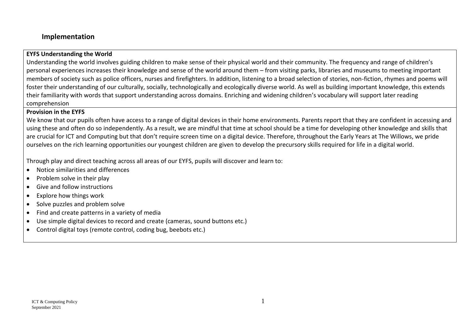#### **Implementation**

#### **EYFS Understanding the World**

Understanding the world involves guiding children to make sense of their physical world and their community. The frequency and range of children's personal experiences increases their knowledge and sense of the world around them – from visiting parks, libraries and museums to meeting important members of society such as police officers, nurses and firefighters. In addition, listening to a broad selection of stories, non-fiction, rhymes and poems will foster their understanding of our culturally, socially, technologically and ecologically diverse world. As well as building important knowledge, this extends their familiarity with words that support understanding across domains. Enriching and widening children's vocabulary will support later reading comprehension

#### **Provision in the EYFS**

We know that our pupils often have access to a range of digital devices in their home environments. Parents report that they are confident in accessing and using these and often do so independently. As a result, we are mindful that time at school should be a time for developing other knowledge and skills that are crucial for ICT and Computing but that don't require screen time on a digital device. Therefore, throughout the Early Years at The Willows, we pride ourselves on the rich learning opportunities our youngest children are given to develop the precursory skills required for life in a digital world.

Through play and direct teaching across all areas of our EYFS, pupils will discover and learn to:

- Notice similarities and differences
- Problem solve in their play
- Give and follow instructions
- Explore how things work
- Solve puzzles and problem solve
- Find and create patterns in a variety of media
- Use simple digital devices to record and create (cameras, sound buttons etc.)
- Control digital toys (remote control, coding bug, beebots etc.)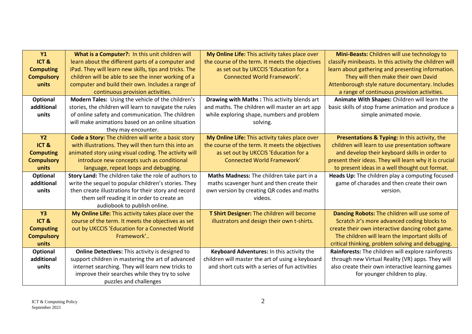| <b>Y1</b>         | What is a Computer?: In this unit children will        | My Online Life: This activity takes place over   | Mini-Beasts: Children will use technology to            |
|-------------------|--------------------------------------------------------|--------------------------------------------------|---------------------------------------------------------|
| ICT&              | learn about the different parts of a computer and      | the course of the term. It meets the objectives  | classify minibeasts. In this activity the children will |
| <b>Computing</b>  | iPad. They will learn new skills, tips and tricks. The | as set out by UKCCIS 'Education for a            | learn about gathering and presenting information.       |
| <b>Compulsory</b> | children will be able to see the inner working of a    | <b>Connected World Framework'.</b>               | They will then make their own David                     |
| units             | computer and build their own. Includes a range of      |                                                  | Attenborough style nature documentary. Includes         |
|                   | continuous provision activities.                       |                                                  | a range of continuous provision activities.             |
| <b>Optional</b>   | Modern Tales: Using the vehicle of the children's      | Drawing with Maths: This activity blends art     | Animate With Shapes: Children will learn the            |
| additional        | stories, the children will learn to navigate the rules | and maths. The children will master an art app   | basic skills of stop frame animation and produce a      |
| units             | of online safety and communication. The children       | while exploring shape, numbers and problem       | simple animated movie.                                  |
|                   | will make animations based on an online situation      | solving.                                         |                                                         |
|                   | they may encounter.                                    |                                                  |                                                         |
| <b>Y2</b>         | Code a Story: The children will write a basic story    | My Online Life: This activity takes place over   | Presentations & Typing: In this activity, the           |
| ICT&              | with illustrations. They will then turn this into an   | the course of the term. It meets the objectives  | children will learn to use presentation software        |
| <b>Computing</b>  | animated story using visual coding. The activity will  | as set out by UKCCIS 'Education for a            | and develop their keyboard skills in order to           |
| <b>Compulsory</b> | introduce new concepts such as conditional             | <b>Connected World Framework'</b>                | present their ideas. They will learn why it is crucial  |
| units             | language, repeat loops and debugging.                  |                                                  | to present ideas in a well thought out format.          |
| Optional          | Story Land: The children take the role of authors to   | Maths Madness: The children take part in a       | Heads Up: The children play a computing focused         |
| additional        | write the sequel to popular children's stories. They   | maths scavenger hunt and then create their       | game of charades and then create their own              |
| units             | then create illustrations for their story and record   | own version by creating QR codes and maths       | version.                                                |
|                   | them self reading it in order to create an             | videos.                                          |                                                         |
|                   | audiobook to publish online.                           |                                                  |                                                         |
| <b>Y3</b>         | My Online Life: This activity takes place over the     | T Shirt Designer: The children will become       | Dancing Robots: The children will use some of           |
| ICT&              | course of the term. It meets the objectives as set     | illustrators and design their own t-shirts.      | Scratch Jr's more advanced coding blocks to             |
| <b>Computing</b>  | out by UKCCIS 'Education for a Connected World         |                                                  | create their own interactive dancing robot game.        |
| <b>Compulsory</b> | Framework'                                             |                                                  | The children will learn the important skills of         |
| units             |                                                        |                                                  | critical thinking, problem solving and debugging.       |
| Optional          | Online Detectives: This activity is designed to        | Keyboard Adventures: In this activity the        | Rainforests: The children will explore rainforests      |
| additional        | support children in mastering the art of advanced      | children will master the art of using a keyboard | through new Virtual Reality (VR) apps. They will        |
| units             | internet searching. They will learn new tricks to      | and short cuts with a series of fun activities   | also create their own interactive learning games        |
|                   | improve their searches while they try to solve         |                                                  | for younger children to play.                           |
|                   | puzzles and challenges                                 |                                                  |                                                         |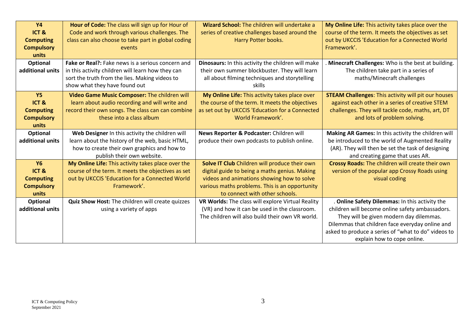| <b>Y4</b><br>ICT&<br><b>Computing</b><br><b>Compulsory</b><br>units<br><b>Optional</b> | Hour of Code: The class will sign up for Hour of<br>Code and work through various challenges. The<br>class can also choose to take part in global coding<br>events<br>Fake or Real?: Fake news is a serious concern and | Wizard School: The children will undertake a<br>series of creative challenges based around the<br>Harry Potter books.<br>Dinosaurs: In this activity the children will make                                                      | My Online Life: This activity takes place over the<br>course of the term. It meets the objectives as set<br>out by UKCCIS 'Education for a Connected World<br>Framework'.<br>Minecraft Challenges: Who is the best at building.                                                       |
|----------------------------------------------------------------------------------------|-------------------------------------------------------------------------------------------------------------------------------------------------------------------------------------------------------------------------|----------------------------------------------------------------------------------------------------------------------------------------------------------------------------------------------------------------------------------|---------------------------------------------------------------------------------------------------------------------------------------------------------------------------------------------------------------------------------------------------------------------------------------|
| additional units                                                                       | in this activity children will learn how they can<br>sort the truth from the lies. Making videos to<br>show what they have found out                                                                                    | their own summer blockbuster. They will learn<br>all about filming techniques and storytelling<br>skills                                                                                                                         | The children take part in a series of<br>maths/Minecraft challenges                                                                                                                                                                                                                   |
| Y <sub>5</sub><br>ICT&<br><b>Computing</b><br><b>Compulsory</b><br>units               | Video Game Music Composer: The children will<br>learn about audio recording and will write and<br>record their own songs. The class can can combine<br>these into a class album                                         | My Online Life: This activity takes place over<br>the course of the term. It meets the objectives<br>as set out by UKCCIS 'Education for a Connected<br>World Framework'.                                                        | <b>STEAM Challenges: This activity will pit our houses</b><br>against each other in a series of creative STEM<br>challenges. They will tackle code, maths, art, DT<br>and lots of problem solving.                                                                                    |
| Optional<br>additional units                                                           | Web Designer In this activity the children will<br>learn about the history of the web, basic HTML,<br>how to create their own graphics and how to<br>publish their own website.                                         | News Reporter & Podcaster: Children will<br>produce their own podcasts to publish online.                                                                                                                                        | Making AR Games: In this activity the children will<br>be introduced to the world of Augmented Reality<br>(AR). They will then be set the task of designing<br>and creating game that uses AR.                                                                                        |
| <b>Y6</b><br>ICT&<br><b>Computing</b><br><b>Compulsory</b><br>units                    | My Online Life: This activity takes place over the<br>course of the term. It meets the objectives as set<br>out by UKCCIS 'Education for a Connected World<br>Framework'.                                               | Solve IT Club Children will produce their own<br>digital guide to being a maths genius. Making<br>videos and animations showing how to solve<br>various maths problems. This is an opportunity<br>to connect with other schools. | Crossy Roads: The children will create their own<br>version of the popular app Crossy Roads using<br>visual coding                                                                                                                                                                    |
| Optional<br>additional units                                                           | Quiz Show Host: The children will create quizzes<br>using a variety of apps                                                                                                                                             | VR Worlds: The class will explore Virtual Reality<br>(VR) and how it can be used in the classroom.<br>The children will also build their own VR world.                                                                           | . Online Safety Dilemmas: In this activity the<br>children will become online safety ambassadors.<br>They will be given modern day dilemmas.<br>Dilemmas that children face everyday online and<br>asked to produce a series of "what to do" videos to<br>explain how to cope online. |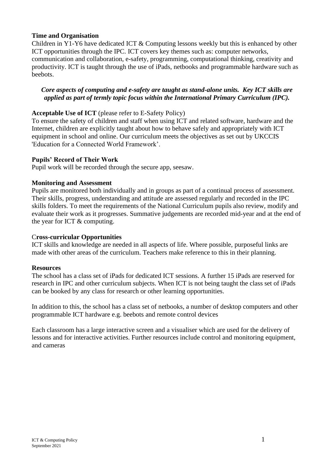#### **Time and Organisation**

Children in Y1-Y6 have dedicated ICT & Computing lessons weekly but this is enhanced by other ICT opportunities through the IPC. ICT covers key themes such as: computer networks, communication and collaboration, e-safety, programming, computational thinking, creativity and productivity. ICT is taught through the use of iPads, netbooks and programmable hardware such as beebots.

#### *Core aspects of computing and e-safety are taught as stand-alone units. Key ICT skills are applied as part of termly topic focus within the International Primary Curriculum (IPC).*

#### **Acceptable Use of ICT** (please refer to E-Safety Policy)

To ensure the safety of children and staff when using ICT and related software, hardware and the Internet, children are explicitly taught about how to behave safely and appropriately with ICT equipment in school and online. Our curriculum meets the objectives as set out by UKCCIS 'Education for a Connected World Framework'.

#### **Pupils' Record of Their Work**

Pupil work will be recorded through the secure app, seesaw.

#### **Monitoring and Assessment**

Pupils are monitored both individually and in groups as part of a continual process of assessment. Their skills, progress, understanding and attitude are assessed regularly and recorded in the IPC skills folders. To meet the requirements of the National Curriculum pupils also review, modify and evaluate their work as it progresses. Summative judgements are recorded mid-year and at the end of the year for ICT & computing.

#### C**ross-curricular Opportunities**

ICT skills and knowledge are needed in all aspects of life. Where possible, purposeful links are made with other areas of the curriculum. Teachers make reference to this in their planning.

#### **Resources**

The school has a class set of iPads for dedicated ICT sessions. A further 15 iPads are reserved for research in IPC and other curriculum subjects. When ICT is not being taught the class set of iPads can be booked by any class for research or other learning opportunities.

In addition to this, the school has a class set of netbooks, a number of desktop computers and other programmable ICT hardware e.g. beebots and remote control devices

Each classroom has a large interactive screen and a visualiser which are used for the delivery of lessons and for interactive activities. Further resources include control and monitoring equipment, and cameras